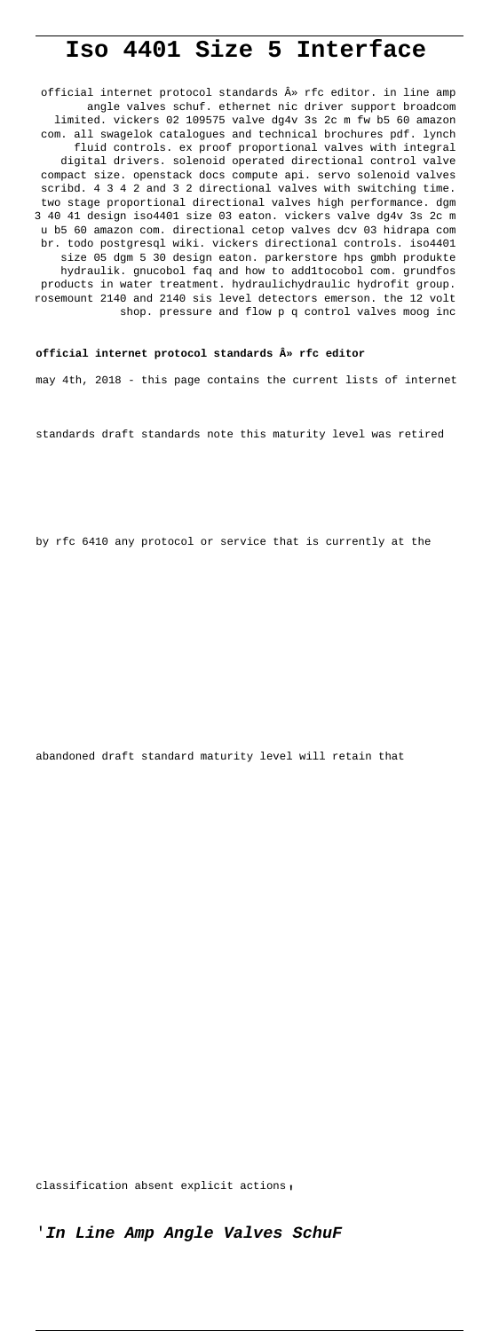# **Iso 4401 Size 5 Interface**

official internet protocol standards  $\hat{A}$  ar finition. in line amp angle valves schuf. ethernet nic driver support broadcom limited. vickers 02 109575 valve dg4v 3s 2c m fw b5 60 amazon com. all swagelok catalogues and technical brochures pdf. lynch fluid controls. ex proof proportional valves with integral digital drivers. solenoid operated directional control valve compact size. openstack docs compute api. servo solenoid valves scribd. 4 3 4 2 and 3 2 directional valves with switching time. two stage proportional directional valves high performance. dgm 3 40 41 design iso4401 size 03 eaton. vickers valve dg4v 3s 2c m u b5 60 amazon com. directional cetop valves dcv 03 hidrapa com br. todo postgresql wiki. vickers directional controls. iso4401 size 05 dgm 5 30 design eaton. parkerstore hps gmbh produkte hydraulik. gnucobol faq and how to add1tocobol com. grundfos products in water treatment. hydraulichydraulic hydrofit group. rosemount 2140 and 2140 sis level detectors emerson. the 12 volt shop. pressure and flow p q control valves moog inc

#### **official internet protocol standards » rfc editor**

may 4th, 2018 - this page contains the current lists of internet

standards draft standards note this maturity level was retired

by rfc 6410 any protocol or service that is currently at the

abandoned draft standard maturity level will retain that

classification absent explicit actions'

'**In Line Amp Angle Valves SchuF**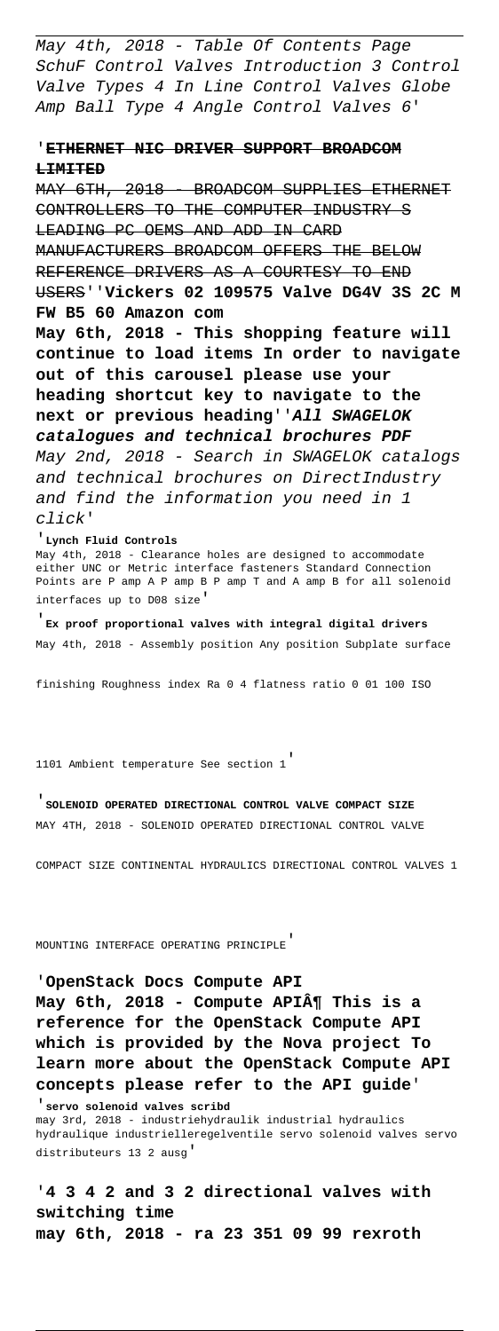May 4th, 2018 - Table Of Contents Page SchuF Control Valves Introduction 3 Control Valve Types 4 In Line Control Valves Globe Amp Ball Type 4 Angle Control Valves 6'

## '**ETHERNET NIC DRIVER SUPPORT BROADCOM LIMITED**

MAY 6TH, 2018 BROADCOM SUPPLIES ETHERNET CONTROLLERS TO THE COMPUTER INDUSTRY S LEADING PC OEMS AND ADD IN CARD MANUFACTURERS BROADCOM OFFERS THE BELOW REFERENCE DRIVERS AS A COURTESY TO END USERS''**Vickers 02 109575 Valve DG4V 3S 2C M FW B5 60 Amazon com May 6th, 2018 - This shopping feature will continue to load items In order to navigate out of this carousel please use your heading shortcut key to navigate to the next or previous heading**''**All SWAGELOK catalogues and technical brochures PDF** May 2nd, 2018 - Search in SWAGELOK catalogs and technical brochures on DirectIndustry and find the information you need in 1 click'

'**Lynch Fluid Controls** May 4th, 2018 - Clearance holes are designed to accommodate either UNC or Metric interface fasteners Standard Connection Points are P amp A P amp B P amp T and A amp B for all solenoid interfaces up to D08 size'

'**Ex proof proportional valves with integral digital drivers** May 4th, 2018 - Assembly position Any position Subplate surface

finishing Roughness index Ra 0 4 flatness ratio 0 01 100 ISO

1101 Ambient temperature See section 1'

'**SOLENOID OPERATED DIRECTIONAL CONTROL VALVE COMPACT SIZE** MAY 4TH, 2018 - SOLENOID OPERATED DIRECTIONAL CONTROL VALVE

COMPACT SIZE CONTINENTAL HYDRAULICS DIRECTIONAL CONTROL VALVES 1

MOUNTING INTERFACE OPERATING PRINCIPLE'

'**OpenStack Docs Compute API** May 6th, 2018 - Compute API¶ This is a **reference for the OpenStack Compute API which is provided by the Nova project To learn more about the OpenStack Compute API concepts please refer to the API guide**'

'**servo solenoid valves scribd** may 3rd, 2018 - industriehydraulik industrial hydraulics hydraulique industrielleregelventile servo solenoid valves servo distributeurs 13 2 ausg'

'**4 3 4 2 and 3 2 directional valves with switching time may 6th, 2018 - ra 23 351 09 99 rexroth**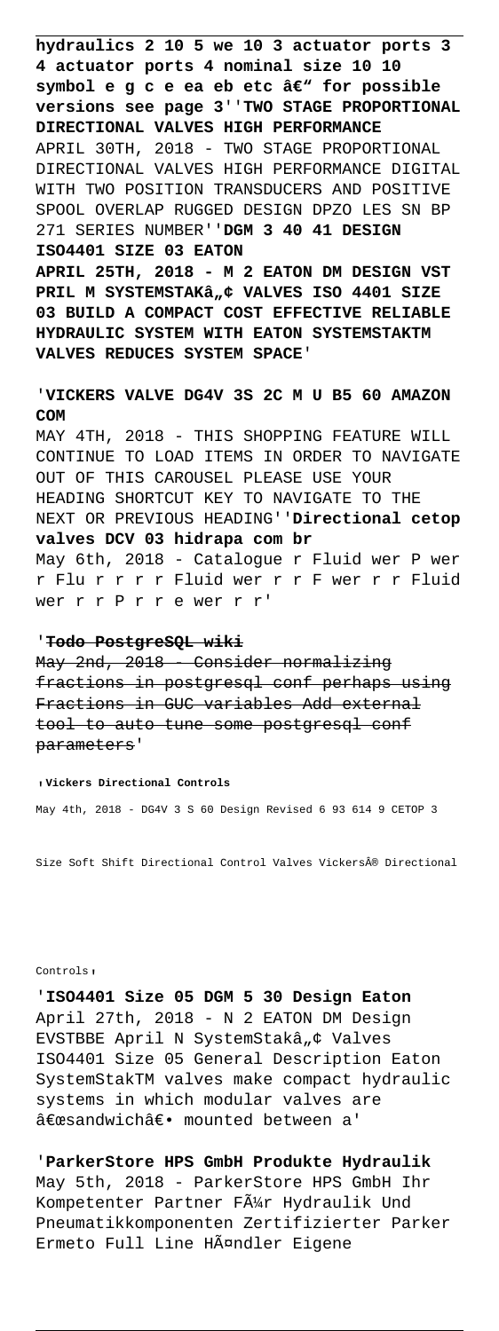**hydraulics 2 10 5 we 10 3 actuator ports 3 4 actuator ports 4 nominal size 10 10** symbol e q c e ea eb etc â€" for possible **versions see page 3**''**TWO STAGE PROPORTIONAL DIRECTIONAL VALVES HIGH PERFORMANCE** APRIL 30TH, 2018 - TWO STAGE PROPORTIONAL DIRECTIONAL VALVES HIGH PERFORMANCE DIGITAL WITH TWO POSITION TRANSDUCERS AND POSITIVE SPOOL OVERLAP RUGGED DESIGN DPZO LES SN BP 271 SERIES NUMBER''**DGM 3 40 41 DESIGN ISO4401 SIZE 03 EATON**

**APRIL 25TH, 2018 - M 2 EATON DM DESIGN VST** PRIL M SYSTEMSTAKâ"¢ VALVES ISO 4401 SIZE **03 BUILD A COMPACT COST EFFECTIVE RELIABLE HYDRAULIC SYSTEM WITH EATON SYSTEMSTAKTM VALVES REDUCES SYSTEM SPACE**'

'**VICKERS VALVE DG4V 3S 2C M U B5 60 AMAZON COM**

MAY 4TH, 2018 - THIS SHOPPING FEATURE WILL CONTINUE TO LOAD ITEMS IN ORDER TO NAVIGATE OUT OF THIS CAROUSEL PLEASE USE YOUR HEADING SHORTCUT KEY TO NAVIGATE TO THE NEXT OR PREVIOUS HEADING''**Directional cetop valves DCV 03 hidrapa com br** May 6th, 2018 - Catalogue r Fluid wer P wer r Flu r r r r Fluid wer r r F wer r r Fluid wer r r P r r e wer r r'

'**Todo PostgreSQL wiki**

May 2nd, 2018 - Consider normalizing fractions in postgresql conf perhaps using Fractions in GUC variables Add external tool to auto tune some postgresql conf parameters'

'**Vickers Directional Controls**

May 4th, 2018 - DG4V 3 S 60 Design Revised 6 93 614 9 CETOP 3

Size Soft Shift Directional Control Valves Vickers® Directional

Controls'

'**ISO4401 Size 05 DGM 5 30 Design Eaton** April 27th, 2018 - N 2 EATON DM Design EVSTBBE April N SystemStakâ"¢ Valves ISO4401 Size 05 General Description Eaton SystemStakTM valves make compact hydraulic systems in which modular valves are "sandwich― mounted between a'

'**ParkerStore HPS GmbH Produkte Hydraulik** May 5th, 2018 - ParkerStore HPS GmbH Ihr Kompetenter Partner F $\tilde{A}$ 1/<sub>1</sub> Hydraulik Und Pneumatikkomponenten Zertifizierter Parker Ermeto Full Line Händler Eigene